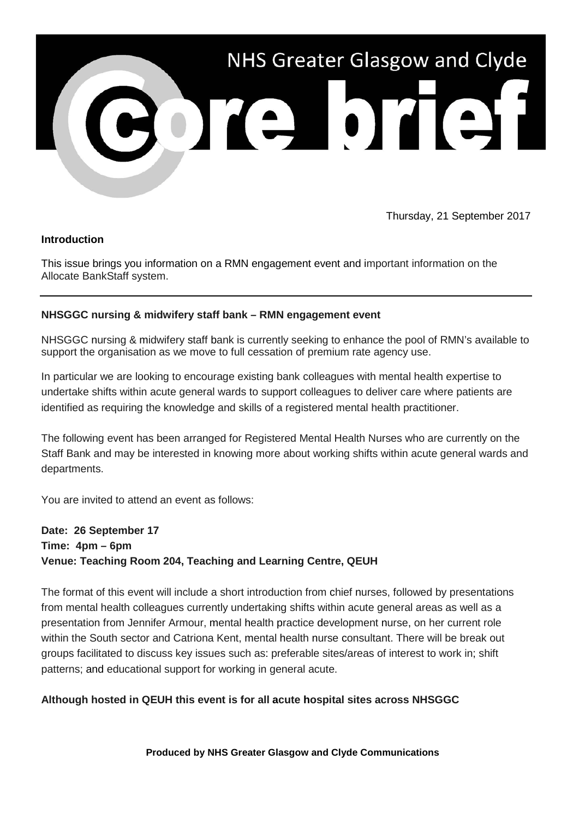

Thursday, 21 September 2017

### **Introduction**

This issue brings you information on a RMN engagement event and important information on the Allocate BankStaff system.

### **NHSGGC nursing & midwifery staff bank – RMN engagement event**

NHSGGC nursing & midwifery staff bank is currently seeking to enhance the pool of RMN's available to support the organisation as we move to full cessation of premium rate agency use.

In particular we are looking to encourage existing bank colleagues with mental health expertise to undertake shifts within acute general wards to support colleagues to deliver care where patients are identified as requiring the knowledge and skills of a registered mental health practitioner.

The following event has been arranged for Registered Mental Health Nurses who are currently on the Staff Bank and may be interested in knowing more about working shifts within acute general wards and departments.

You are invited to attend an event as follows:

# **Date: 26 September 17 Time: 4pm – 6pm Venue: Teaching Room 204, Teaching and Learning Centre, QEUH**

The format of this event will include a short introduction from chief nurses, followed by presentations from mental health colleagues currently undertaking shifts within acute general areas as well as a presentation from Jennifer Armour, mental health practice development nurse, on her current role within the South sector and Catriona Kent, mental health nurse consultant. There will be break out groups facilitated to discuss key issues such as: preferable sites/areas of interest to work in; shift patterns; and educational support for working in general acute.

### **Although hosted in QEUH this event is for all acute hospital sites across NHSGGC**

**Produced by NHS Greater Glasgow and Clyde Communications**